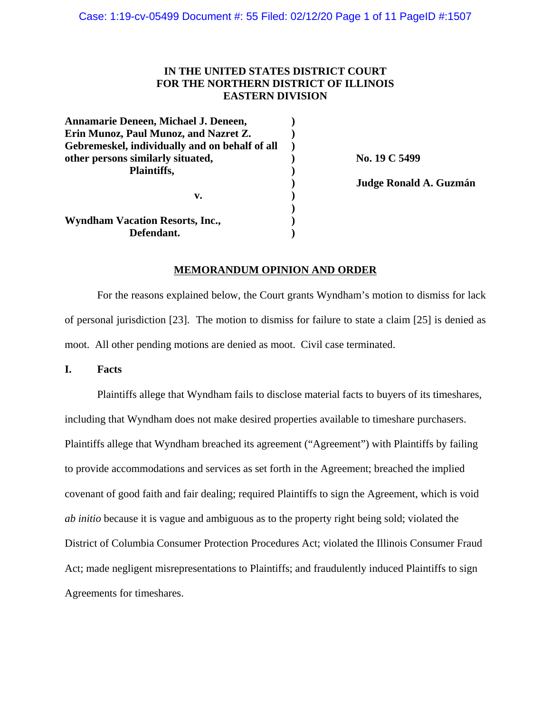## **IN THE UNITED STATES DISTRICT COURT FOR THE NORTHERN DISTRICT OF ILLINOIS EASTERN DIVISION**

| Annamarie Deneen, Michael J. Deneen,           |  |
|------------------------------------------------|--|
| Erin Munoz, Paul Munoz, and Nazret Z.          |  |
| Gebremeskel, individually and on behalf of all |  |
| other persons similarly situated,              |  |
| Plaintiffs,                                    |  |
|                                                |  |
| v.                                             |  |
|                                                |  |
| <b>Wyndham Vacation Resorts, Inc.,</b>         |  |
| Defendant.                                     |  |

**other persons similarly situated, ) No. 19 C 5499**

**) Judge Ronald A. Guzmán** 

#### **MEMORANDUM OPINION AND ORDER**

For the reasons explained below, the Court grants Wyndham's motion to dismiss for lack of personal jurisdiction [23]. The motion to dismiss for failure to state a claim [25] is denied as moot. All other pending motions are denied as moot. Civil case terminated.

**I. Facts**

Plaintiffs allege that Wyndham fails to disclose material facts to buyers of its timeshares, including that Wyndham does not make desired properties available to timeshare purchasers. Plaintiffs allege that Wyndham breached its agreement ("Agreement") with Plaintiffs by failing to provide accommodations and services as set forth in the Agreement; breached the implied covenant of good faith and fair dealing; required Plaintiffs to sign the Agreement, which is void *ab initio* because it is vague and ambiguous as to the property right being sold; violated the District of Columbia Consumer Protection Procedures Act; violated the Illinois Consumer Fraud Act; made negligent misrepresentations to Plaintiffs; and fraudulently induced Plaintiffs to sign Agreements for timeshares.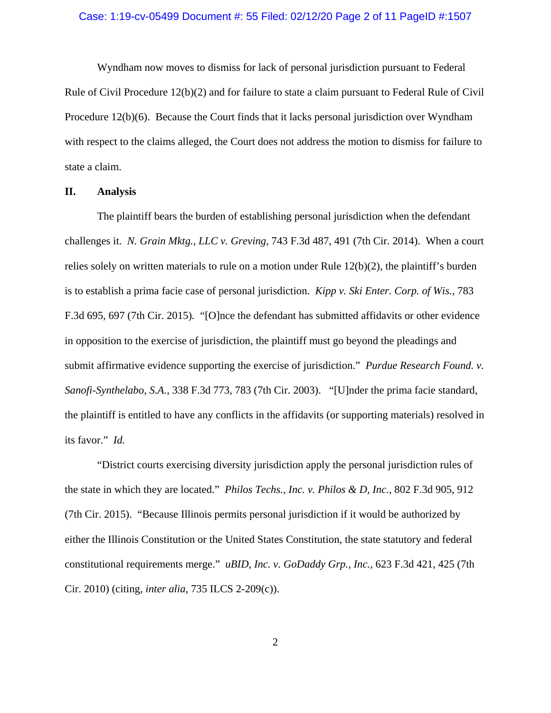#### Case: 1:19-cv-05499 Document #: 55 Filed: 02/12/20 Page 2 of 11 PageID #:1507

Wyndham now moves to dismiss for lack of personal jurisdiction pursuant to Federal Rule of Civil Procedure 12(b)(2) and for failure to state a claim pursuant to Federal Rule of Civil Procedure 12(b)(6). Because the Court finds that it lacks personal jurisdiction over Wyndham with respect to the claims alleged, the Court does not address the motion to dismiss for failure to state a claim.

#### **II. Analysis**

The plaintiff bears the burden of establishing personal jurisdiction when the defendant challenges it. *N. Grain Mktg., LLC v. Greving*, 743 F.3d 487, 491 (7th Cir. 2014). When a court relies solely on written materials to rule on a motion under Rule 12(b)(2), the plaintiff's burden is to establish a prima facie case of personal jurisdiction. *Kipp v. Ski Enter. Corp. of Wis.*, 783 F.3d 695, 697 (7th Cir. 2015)*.* "[O]nce the defendant has submitted affidavits or other evidence in opposition to the exercise of jurisdiction, the plaintiff must go beyond the pleadings and submit affirmative evidence supporting the exercise of jurisdiction." *Purdue Research Found. v. Sanofi-Synthelabo, S.A.*, 338 F.3d 773, 783 (7th Cir. 2003). "[U]nder the prima facie standard, the plaintiff is entitled to have any conflicts in the affidavits (or supporting materials) resolved in its favor." *Id.*

"District courts exercising diversity jurisdiction apply the personal jurisdiction rules of the state in which they are located." *Philos Techs., Inc. v. Philos & D, Inc.*, 802 F.3d 905, 912 (7th Cir. 2015). "Because Illinois permits personal jurisdiction if it would be authorized by either the Illinois Constitution or the United States Constitution, the state statutory and federal constitutional requirements merge." *uBID, Inc. v. GoDaddy Grp., Inc.*, 623 F.3d 421, 425 (7th Cir. 2010) (citing, *inter alia*, 735 ILCS 2-209(c)).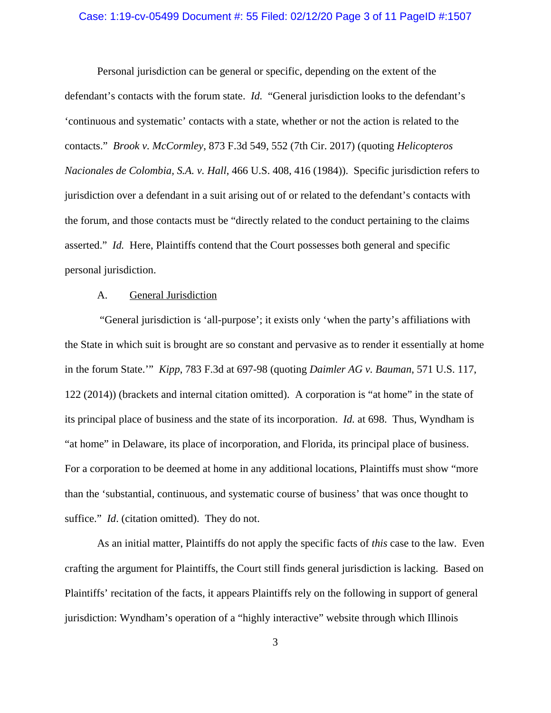#### Case: 1:19-cv-05499 Document #: 55 Filed: 02/12/20 Page 3 of 11 PageID #:1507

Personal jurisdiction can be general or specific, depending on the extent of the defendant's contacts with the forum state. *Id.* "General jurisdiction looks to the defendant's 'continuous and systematic' contacts with a state, whether or not the action is related to the contacts." *Brook v. McCormley*, 873 F.3d 549, 552 (7th Cir. 2017) (quoting *Helicopteros Nacionales de Colombia, S.A. v. Hall*, 466 U.S. 408, 416 (1984)). Specific jurisdiction refers to jurisdiction over a defendant in a suit arising out of or related to the defendant's contacts with the forum, and those contacts must be "directly related to the conduct pertaining to the claims asserted." *Id.* Here, Plaintiffs contend that the Court possesses both general and specific personal jurisdiction.

#### A. General Jurisdiction

 "General jurisdiction is 'all-purpose'; it exists only 'when the party's affiliations with the State in which suit is brought are so constant and pervasive as to render it essentially at home in the forum State.'" *Kipp*, 783 F.3d at 697-98 (quoting *Daimler AG v. Bauman*, 571 U.S. 117, 122 (2014)) (brackets and internal citation omitted). A corporation is "at home" in the state of its principal place of business and the state of its incorporation. *Id.* at 698. Thus, Wyndham is "at home" in Delaware, its place of incorporation, and Florida, its principal place of business. For a corporation to be deemed at home in any additional locations, Plaintiffs must show "more than the 'substantial, continuous, and systematic course of business' that was once thought to suffice." *Id.* (citation omitted). They do not.

As an initial matter, Plaintiffs do not apply the specific facts of *this* case to the law. Even crafting the argument for Plaintiffs, the Court still finds general jurisdiction is lacking. Based on Plaintiffs' recitation of the facts, it appears Plaintiffs rely on the following in support of general jurisdiction: Wyndham's operation of a "highly interactive" website through which Illinois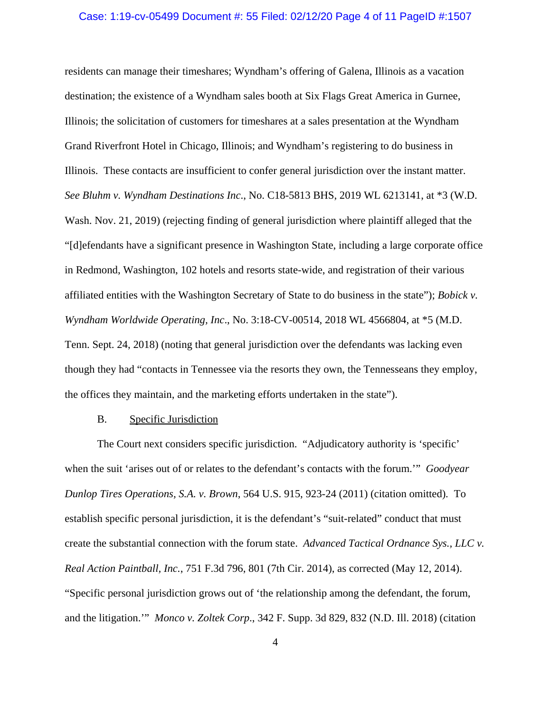#### Case: 1:19-cv-05499 Document #: 55 Filed: 02/12/20 Page 4 of 11 PageID #:1507

residents can manage their timeshares; Wyndham's offering of Galena, Illinois as a vacation destination; the existence of a Wyndham sales booth at Six Flags Great America in Gurnee, Illinois; the solicitation of customers for timeshares at a sales presentation at the Wyndham Grand Riverfront Hotel in Chicago, Illinois; and Wyndham's registering to do business in Illinois. These contacts are insufficient to confer general jurisdiction over the instant matter. *See Bluhm v. Wyndham Destinations Inc*., No. C18-5813 BHS, 2019 WL 6213141, at \*3 (W.D. Wash. Nov. 21, 2019) (rejecting finding of general jurisdiction where plaintiff alleged that the "[d]efendants have a significant presence in Washington State, including a large corporate office in Redmond, Washington, 102 hotels and resorts state-wide, and registration of their various affiliated entities with the Washington Secretary of State to do business in the state"); *Bobick v. Wyndham Worldwide Operating, Inc*., No. 3:18-CV-00514, 2018 WL 4566804, at \*5 (M.D. Tenn. Sept. 24, 2018) (noting that general jurisdiction over the defendants was lacking even though they had "contacts in Tennessee via the resorts they own, the Tennesseans they employ, the offices they maintain, and the marketing efforts undertaken in the state").

#### B. Specific Jurisdiction

The Court next considers specific jurisdiction. "Adjudicatory authority is 'specific' when the suit 'arises out of or relates to the defendant's contacts with the forum.'" *Goodyear Dunlop Tires Operations, S.A. v. Brown*, 564 U.S. 915, 923-24 (2011) (citation omitted)*.* To establish specific personal jurisdiction, it is the defendant's "suit-related" conduct that must create the substantial connection with the forum state. *Advanced Tactical Ordnance Sys., LLC v. Real Action Paintball, Inc.*, 751 F.3d 796, 801 (7th Cir. 2014), as corrected (May 12, 2014). "Specific personal jurisdiction grows out of 'the relationship among the defendant, the forum, and the litigation.'" *Monco v. Zoltek Corp*., 342 F. Supp. 3d 829, 832 (N.D. Ill. 2018) (citation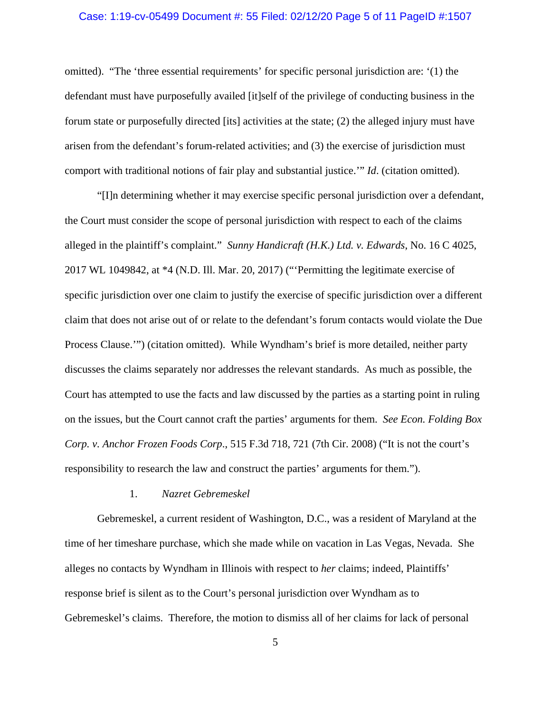#### Case: 1:19-cv-05499 Document #: 55 Filed: 02/12/20 Page 5 of 11 PageID #:1507

omitted). "The 'three essential requirements' for specific personal jurisdiction are: '(1) the defendant must have purposefully availed [it]self of the privilege of conducting business in the forum state or purposefully directed [its] activities at the state; (2) the alleged injury must have arisen from the defendant's forum-related activities; and (3) the exercise of jurisdiction must comport with traditional notions of fair play and substantial justice.'" *Id*. (citation omitted).

"[I]n determining whether it may exercise specific personal jurisdiction over a defendant, the Court must consider the scope of personal jurisdiction with respect to each of the claims alleged in the plaintiff's complaint." *Sunny Handicraft (H.K.) Ltd. v. Edwards*, No. 16 C 4025, 2017 WL 1049842, at \*4 (N.D. Ill. Mar. 20, 2017) ("'Permitting the legitimate exercise of specific jurisdiction over one claim to justify the exercise of specific jurisdiction over a different claim that does not arise out of or relate to the defendant's forum contacts would violate the Due Process Clause.'") (citation omitted). While Wyndham's brief is more detailed, neither party discusses the claims separately nor addresses the relevant standards. As much as possible, the Court has attempted to use the facts and law discussed by the parties as a starting point in ruling on the issues, but the Court cannot craft the parties' arguments for them. *See Econ. Folding Box Corp. v. Anchor Frozen Foods Corp*., 515 F.3d 718, 721 (7th Cir. 2008) ("It is not the court's responsibility to research the law and construct the parties' arguments for them.").

#### 1. *Nazret Gebremeskel*

Gebremeskel, a current resident of Washington, D.C., was a resident of Maryland at the time of her timeshare purchase, which she made while on vacation in Las Vegas, Nevada. She alleges no contacts by Wyndham in Illinois with respect to *her* claims; indeed, Plaintiffs' response brief is silent as to the Court's personal jurisdiction over Wyndham as to Gebremeskel's claims. Therefore, the motion to dismiss all of her claims for lack of personal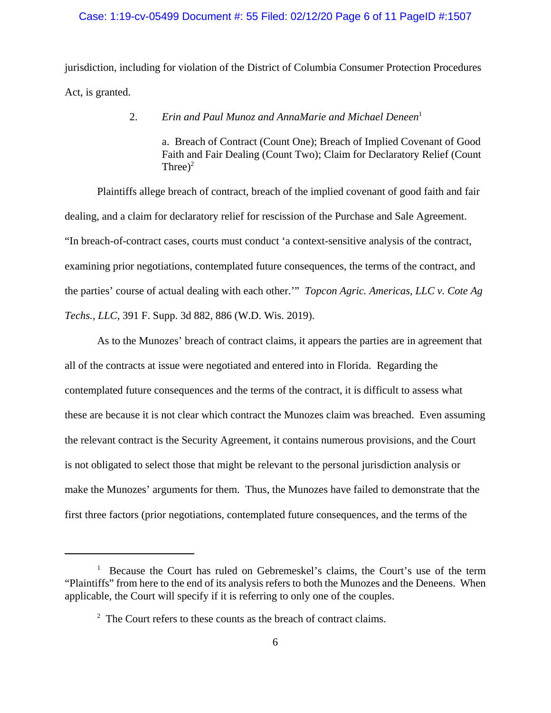### Case: 1:19-cv-05499 Document #: 55 Filed: 02/12/20 Page 6 of 11 PageID #:1507

jurisdiction, including for violation of the District of Columbia Consumer Protection Procedures Act, is granted.

2. *Erin and Paul Munoz and AnnaMarie and Michael Deneen*<sup>1</sup>

a. Breach of Contract (Count One); Breach of Implied Covenant of Good Faith and Fair Dealing (Count Two); Claim for Declaratory Relief (Count Three)<sup>2</sup>

Plaintiffs allege breach of contract, breach of the implied covenant of good faith and fair dealing, and a claim for declaratory relief for rescission of the Purchase and Sale Agreement. "In breach-of-contract cases, courts must conduct 'a context-sensitive analysis of the contract, examining prior negotiations, contemplated future consequences, the terms of the contract, and the parties' course of actual dealing with each other.'" *Topcon Agric. Americas, LLC v. Cote Ag Techs., LLC*, 391 F. Supp. 3d 882, 886 (W.D. Wis. 2019).

As to the Munozes' breach of contract claims, it appears the parties are in agreement that all of the contracts at issue were negotiated and entered into in Florida. Regarding the contemplated future consequences and the terms of the contract, it is difficult to assess what these are because it is not clear which contract the Munozes claim was breached. Even assuming the relevant contract is the Security Agreement, it contains numerous provisions, and the Court is not obligated to select those that might be relevant to the personal jurisdiction analysis or make the Munozes' arguments for them. Thus, the Munozes have failed to demonstrate that the first three factors (prior negotiations, contemplated future consequences, and the terms of the

<sup>&</sup>lt;sup>1</sup> Because the Court has ruled on Gebremeskel's claims, the Court's use of the term "Plaintiffs" from here to the end of its analysis refers to both the Munozes and the Deneens. When applicable, the Court will specify if it is referring to only one of the couples.

<sup>&</sup>lt;sup>2</sup> The Court refers to these counts as the breach of contract claims.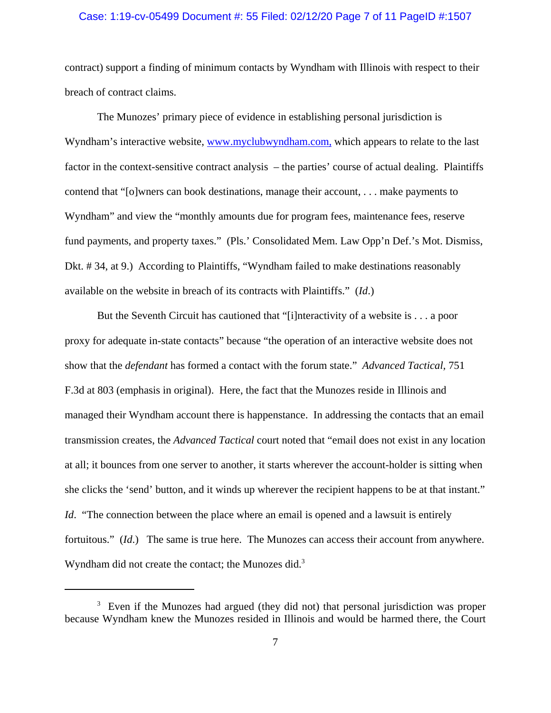#### Case: 1:19-cv-05499 Document #: 55 Filed: 02/12/20 Page 7 of 11 PageID #:1507

contract) support a finding of minimum contacts by Wyndham with Illinois with respect to their breach of contract claims.

The Munozes' primary piece of evidence in establishing personal jurisdiction is Wyndham's interactive website, www.myclubwyndham.com, which appears to relate to the last factor in the context-sensitive contract analysis – the parties' course of actual dealing. Plaintiffs contend that "[o]wners can book destinations, manage their account, . . . make payments to Wyndham" and view the "monthly amounts due for program fees, maintenance fees, reserve fund payments, and property taxes." (Pls.' Consolidated Mem. Law Opp'n Def.'s Mot. Dismiss, Dkt. # 34, at 9.) According to Plaintiffs, "Wyndham failed to make destinations reasonably available on the website in breach of its contracts with Plaintiffs." (*Id*.)

But the Seventh Circuit has cautioned that "[i]nteractivity of a website is . . . a poor proxy for adequate in-state contacts" because "the operation of an interactive website does not show that the *defendant* has formed a contact with the forum state." *Advanced Tactical,* 751 F.3d at 803 (emphasis in original). Here, the fact that the Munozes reside in Illinois and managed their Wyndham account there is happenstance. In addressing the contacts that an email transmission creates, the *Advanced Tactical* court noted that "email does not exist in any location at all; it bounces from one server to another, it starts wherever the account-holder is sitting when she clicks the 'send' button, and it winds up wherever the recipient happens to be at that instant." *Id.* "The connection between the place where an email is opened and a lawsuit is entirely fortuitous." (*Id*.) The same is true here. The Munozes can access their account from anywhere. Wyndham did not create the contact; the Munozes did. $3$ 

<sup>&</sup>lt;sup>3</sup> Even if the Munozes had argued (they did not) that personal jurisdiction was proper because Wyndham knew the Munozes resided in Illinois and would be harmed there, the Court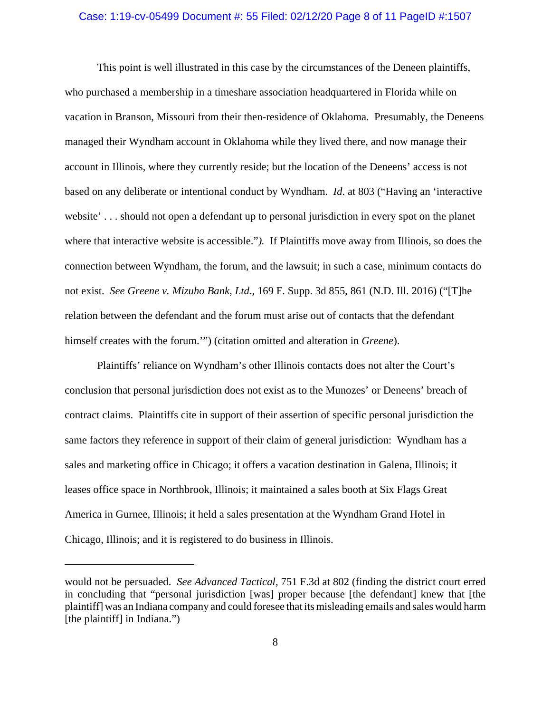## Case: 1:19-cv-05499 Document #: 55 Filed: 02/12/20 Page 8 of 11 PageID #:1507

This point is well illustrated in this case by the circumstances of the Deneen plaintiffs, who purchased a membership in a timeshare association headquartered in Florida while on vacation in Branson, Missouri from their then-residence of Oklahoma. Presumably, the Deneens managed their Wyndham account in Oklahoma while they lived there, and now manage their account in Illinois, where they currently reside; but the location of the Deneens' access is not based on any deliberate or intentional conduct by Wyndham. *Id*. at 803 ("Having an 'interactive website' . . . should not open a defendant up to personal jurisdiction in every spot on the planet where that interactive website is accessible."*).* If Plaintiffs move away from Illinois, so does the connection between Wyndham, the forum, and the lawsuit; in such a case, minimum contacts do not exist. *See Greene v. Mizuho Bank, Ltd.*, 169 F. Supp. 3d 855, 861 (N.D. Ill. 2016) ("[T]he relation between the defendant and the forum must arise out of contacts that the defendant himself creates with the forum.'") (citation omitted and alteration in *Greene*).

Plaintiffs' reliance on Wyndham's other Illinois contacts does not alter the Court's conclusion that personal jurisdiction does not exist as to the Munozes' or Deneens' breach of contract claims. Plaintiffs cite in support of their assertion of specific personal jurisdiction the same factors they reference in support of their claim of general jurisdiction: Wyndham has a sales and marketing office in Chicago; it offers a vacation destination in Galena, Illinois; it leases office space in Northbrook, Illinois; it maintained a sales booth at Six Flags Great America in Gurnee, Illinois; it held a sales presentation at the Wyndham Grand Hotel in Chicago, Illinois; and it is registered to do business in Illinois.

would not be persuaded. *See Advanced Tactical,* 751 F.3d at 802 (finding the district court erred in concluding that "personal jurisdiction [was] proper because [the defendant] knew that [the plaintiff] was an Indiana company and could foresee that its misleading emails and sales would harm [the plaintiff] in Indiana.")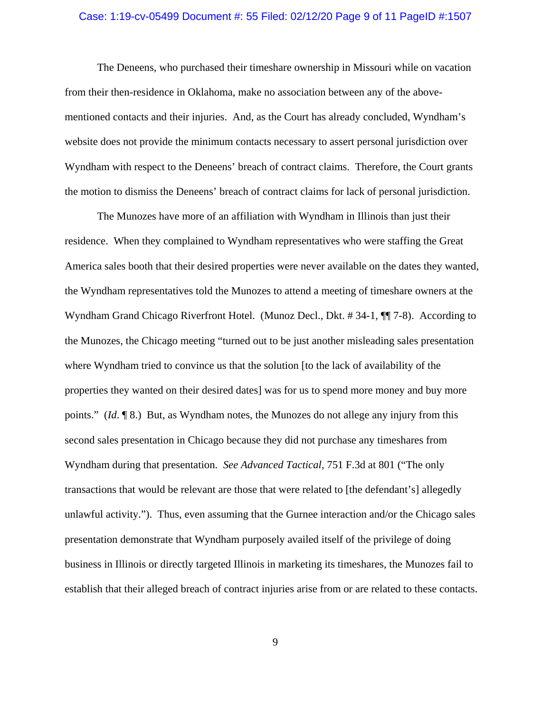#### Case: 1:19-cv-05499 Document #: 55 Filed: 02/12/20 Page 9 of 11 PageID #:1507

The Deneens, who purchased their timeshare ownership in Missouri while on vacation from their then-residence in Oklahoma, make no association between any of the abovementioned contacts and their injuries. And, as the Court has already concluded, Wyndham's website does not provide the minimum contacts necessary to assert personal jurisdiction over Wyndham with respect to the Deneens' breach of contract claims. Therefore, the Court grants the motion to dismiss the Deneens' breach of contract claims for lack of personal jurisdiction.

The Munozes have more of an affiliation with Wyndham in Illinois than just their residence. When they complained to Wyndham representatives who were staffing the Great America sales booth that their desired properties were never available on the dates they wanted, the Wyndham representatives told the Munozes to attend a meeting of timeshare owners at the Wyndham Grand Chicago Riverfront Hotel. (Munoz Decl., Dkt. #34-1,  $\P$ ] 7-8). According to the Munozes, the Chicago meeting "turned out to be just another misleading sales presentation where Wyndham tried to convince us that the solution [to the lack of availability of the properties they wanted on their desired dates] was for us to spend more money and buy more points." (*Id*. ¶ 8.) But, as Wyndham notes, the Munozes do not allege any injury from this second sales presentation in Chicago because they did not purchase any timeshares from Wyndham during that presentation. *See Advanced Tactical,* 751 F.3d at 801 ("The only transactions that would be relevant are those that were related to [the defendant's] allegedly unlawful activity."). Thus, even assuming that the Gurnee interaction and/or the Chicago sales presentation demonstrate that Wyndham purposely availed itself of the privilege of doing business in Illinois or directly targeted Illinois in marketing its timeshares, the Munozes fail to establish that their alleged breach of contract injuries arise from or are related to these contacts.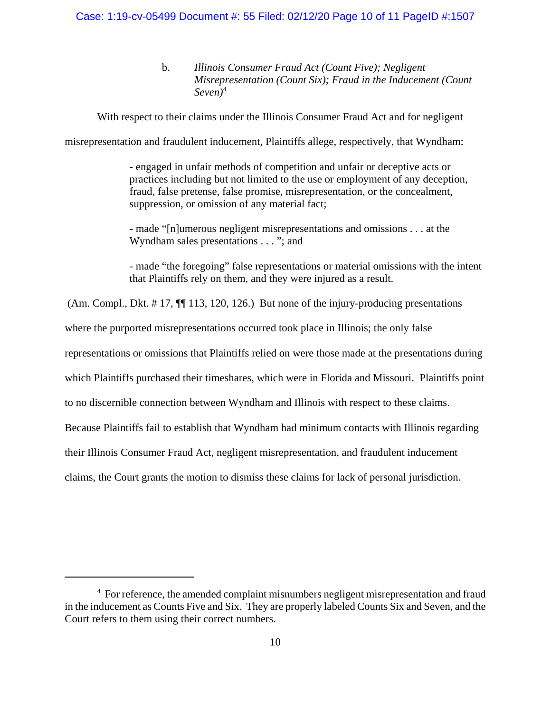#### Case: 1:19-cv-05499 Document #: 55 Filed: 02/12/20 Page 10 of 11 PageID #:1507

b. *Illinois Consumer Fraud Act (Count Five); Negligent Misrepresentation (Count Six); Fraud in the Inducement (Count Seven)*<sup>4</sup>

With respect to their claims under the Illinois Consumer Fraud Act and for negligent

misrepresentation and fraudulent inducement, Plaintiffs allege, respectively, that Wyndham:

- engaged in unfair methods of competition and unfair or deceptive acts or practices including but not limited to the use or employment of any deception, fraud, false pretense, false promise, misrepresentation, or the concealment, suppression, or omission of any material fact;

- made "[n]umerous negligent misrepresentations and omissions . . . at the Wyndham sales presentations . . . "; and

- made "the foregoing" false representations or material omissions with the intent that Plaintiffs rely on them, and they were injured as a result.

(Am. Compl., Dkt. # 17, ¶¶ 113, 120, 126.) But none of the injury-producing presentations

where the purported misrepresentations occurred took place in Illinois; the only false

representations or omissions that Plaintiffs relied on were those made at the presentations during

which Plaintiffs purchased their timeshares, which were in Florida and Missouri. Plaintiffs point

to no discernible connection between Wyndham and Illinois with respect to these claims.

Because Plaintiffs fail to establish that Wyndham had minimum contacts with Illinois regarding

their Illinois Consumer Fraud Act, negligent misrepresentation, and fraudulent inducement

claims, the Court grants the motion to dismiss these claims for lack of personal jurisdiction.

<sup>&</sup>lt;sup>4</sup> For reference, the amended complaint misnumbers negligent misrepresentation and fraud in the inducement as Counts Five and Six. They are properly labeled Counts Six and Seven, and the Court refers to them using their correct numbers.